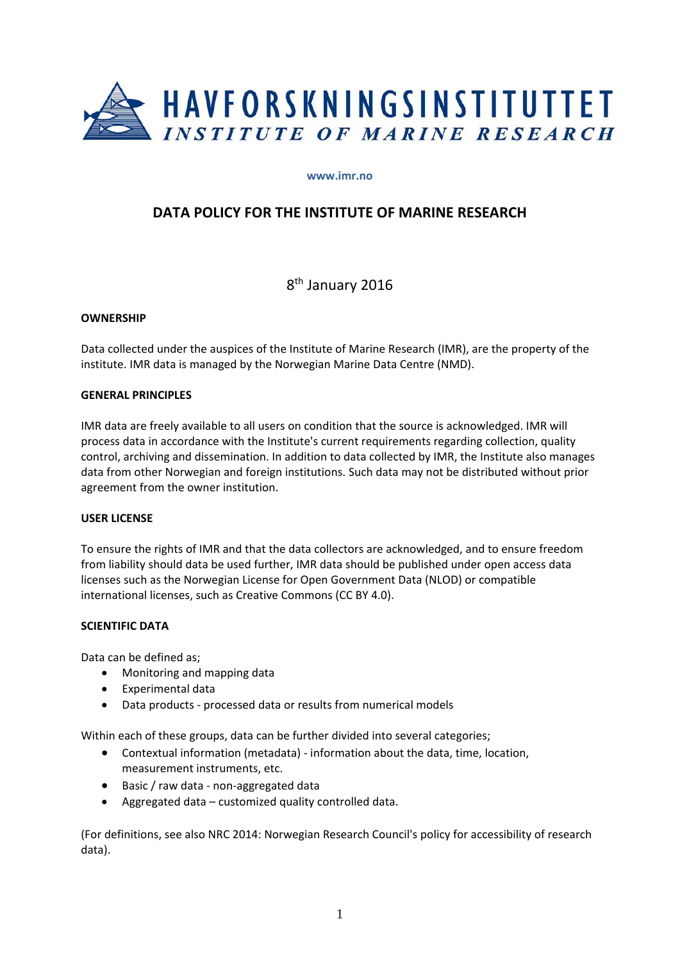

#### **www.imr.no**

# **DATA POLICY FOR THE INSTITUTE OF MARINE RESEARCH**

8<sup>th</sup> January 2016

#### **OWNERSHIP**

Data collected under the auspices of the Institute of Marine Research (IMR), are the property of the institute. IMR data is managed by the Norwegian Marine Data Centre (NMD).

#### **GENERAL PRINCIPLES**

IMR data are freely available to all users on condition that the source is acknowledged. IMR will process data in accordance with the Institute's current requirements regarding collection, quality control, archiving and dissemination. In addition to data collected by IMR, the Institute also manages data from other Norwegian and foreign institutions. Such data may not be distributed without prior agreement from the owner institution.

#### **USER LICENSE**

To ensure the rights of IMR and that the data collectors are acknowledged, and to ensure freedom from liability should data be used further, IMR data should be published under open access data licenses such as the Norwegian License for Open Government Data (NLOD) or compatible international licenses, such as Creative Commons (CC BY 4.0).

## **SCIENTIFIC DATA**

Data can be defined as;

- Monitoring and mapping data
- Experimental data
- Data products processed data or results from numerical models

Within each of these groups, data can be further divided into several categories;

- Contextual information (metadata) ‐ information about the data, time, location, measurement instruments, etc.
- Basic / raw data ‐ non‐aggregated data
- Aggregated data customized quality controlled data.

(For definitions, see also NRC 2014: Norwegian Research Council's policy for accessibility of research data).